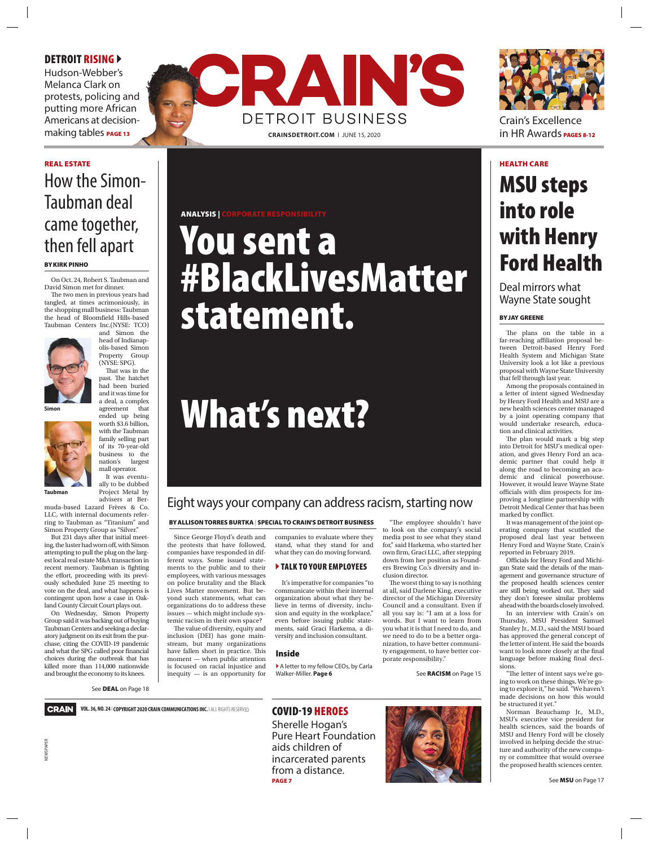#### DETROIT RISING >

Hudson-Webber's Melanca Clark on protests, policing and putting more African Americans at decision-





Crain's Excellence in HR Awards PAGES 8-12

#### REAL ESTATE NEEDS AND HEALTH CARE IN THE ALTERNATIVE CONTINUES IN THE ALTERNATIVE CONTINUES IN THE ALTERNATIVE

## How the Simon-Taubman deal came together, then fell apart

**BY KIRK PINHO** 

On Oct. 24, Robert S. Taubman and David Simon met for dinner.

The two men in previous years had tangled, at times acrimoniously, in the shopping mall business: Taubman the head of Bloomfield Hills-based Taubman Centers Inc.(NYSE: TCO) and Simon the

head of Indianapolis-based Simon Property Group (NYSE: SPG). That was in the past. The hatchet had been buried and it was time for a deal, a complex agreement that ended up being

It was eventu-

Project Metal by



**Simon**



**Taubman**

advisers at Bermuda-based Lazard Frères & Co. LLC, with internal documents referring to Taubman as "Titanium" and Simon Property Group as "Silver."

But 231 days after that initial meeting, the luster had worn off, with Simon attempting to pull the plug on the largest local real estate M&A transaction in recent memory. Taubman is fighting the effort, proceeding with its previously scheduled June 25 meeting to vote on the deal, and what happens is contingent upon how a case in Oakland County Circuit Court plays out.

On Wednesday, Simon Property Group said it was backing out of buying Taubman Centers and seeking a declaratory judgment on its exit from the purchase, citing the COVID-19 pandemic and what the SPG called poor financial choices during the outbreak that has killed more than 114,000 nationwide and brought the economy to its knees.

NEWSPAPER

**VEWSPAPER** 

See **DEAL** on Page 18



#### ANALYSIS |

# You sent a #BlackLivesMatter statement.

# What's next?

### Eight ways your company can address racism, starting now

#### BY ALLISON TORRES BURTKA | SPECIAL TO CRAIN'S DETROIT BUSINESS

Since George Floyd's death and the protests that have followed, companies have responded in different ways. Some issued statements to the public and to their employees, with various messages on police brutality and the Black Lives Matter movement. But beyond such statements, what can organizations do to address these issues — which might include systemic racism in their own space?

The value of diversity, equity and inclusion (DEI) has gone mainstream, but many organizations have fallen short in practice. This moment — when public attention is focused on racial injustice and inequity — is an opportunity for companies to evaluate where they stand, what they stand for and what they can do moving forward.

#### **TALK TO YOUR EMPLOYEES**

It's imperative for companies "to communicate within their internal organization about what they believe in terms of diversity, inclusion and equity in the workplace," even before issuing public statements, said Graci Harkema, a diversity and inclusion consultant.

#### Inside

A letter to my fellow CEOs, by Carla<br>Walker-Miller. **Page 6** 

COVID-19 HEROES

Sherelle Hogan's Pure Heart Foundation aids children of incarcerated parents from a distance. PAGE 7



See **RACISM** on Page 15

"The employee shouldn't have to look on the company's social media post to see what they stand for," said Harkema, who started her own firm, Graci LLC, after stepping down from her position as Founders Brewing Co.'s diversity and in-

The worst thing to say is nothing at all, said Darlene King, executive director of the Michigan Diversity Council and a consultant. Even if all you say is: "I am at a loss for words. But I want to learn from you what it is that I need to do, and we need to do to be a better organization, to have better community engagement, to have better cor-

clusion director.

porate responsibility."

# MSU steps into role with Henry Ford Health

Deal mirrors what Wayne State sought

#### BY JAY GREENE

The plans on the table in a far-reaching affiliation proposal between Detroit-based Henry Ford Health System and Michigan State University look a lot like a previous proposal with Wayne State University that fell through last year.

Among the proposals contained in a letter of intent signed Wednesday by Henry Ford Health and MSU are a new health sciences center managed by a joint operating company that would undertake research, education and clinical activities.

The plan would mark a big step into Detroit for MSU's medical operation, and gives Henry Ford an academic partner that could help it along the road to becoming an academic and clinical powerhouse. However, it would leave Wayne State officials with dim prospects for improving a longtime partnership with Detroit Medical Center that has been marked by conflict.

It was management of the joint operating company that scuttled the proposed deal last year between Henry Ford and Wayne State, Crain's reported in February 2019.

Officials for Henry Ford and Michigan State said the details of the management and governance structure of the proposed health sciences center are still being worked out. They said they don't foresee similar problems ahead with the boards closely involved.

In an interview with Crain's on Thursday, MSU President Samuel Stanley Jr., M.D., said the MSU board has approved the general concept of the letter of intent. He said the boards want to look more closely at the final language before making final decisions.

"The letter of intent says we're going to work on these things. We're going to explore it," he said. "We haven't made decisions on how this would be structured it yet."

Norman Beauchamp Jr., M.D., MSU's executive vice president for health sciences, said the boards of MSU and Henry Ford will be closely involved in helping decide the structure and authority of the new company or committee that would oversee the proposed health sciences center.